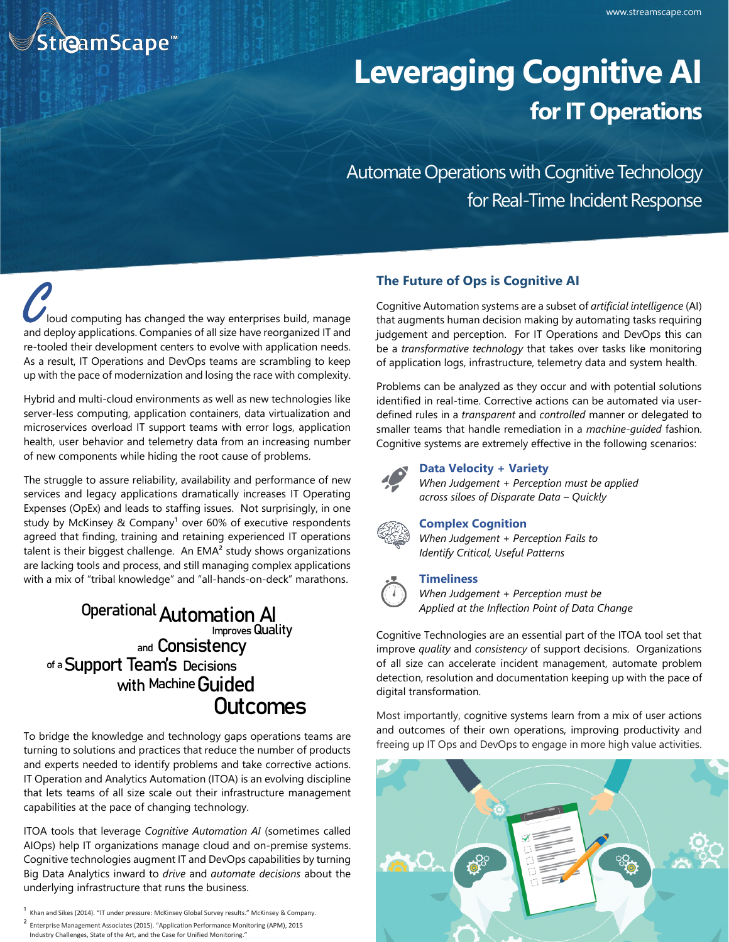

# **Leveraging Cognitive AI for IT Operations**

Automate Operations with Cognitive Technology for Real-Time Incident Response

C<br>Loud computing has changed the way enterprises build, manage<br>and deploy applications. Companies of all size have reorganized IT and loud computing has changed the way enterprises build, manage re-tooled their development centers to evolve with application needs. As a result, IT Operations and DevOps teams are scrambling to keep up with the pace of modernization and losing the race with complexity.

Hybrid and multi-cloud environments as well as new technologies like server-less computing, application containers, data virtualization and microservices overload IT support teams with error logs, application health, user behavior and telemetry data from an increasing number of new components while hiding the root cause of problems.

The struggle to assure reliability, availability and performance of new services and legacy applications dramatically increases IT Operating Expenses (OpEx) and leads to staffing issues. Not surprisingly, in one study by McKinsey & Company<sup>1</sup> over 60% of executive respondents agreed that finding, training and retaining experienced IT operations talent is their biggest challenge. An EMA<sup>2</sup> study shows organizations are lacking tools and process, and still managing complex applications with a mix of "tribal knowledge" and "all-hands-on-deck" marathons.

# **Automation AI Operational Improves Quality and Consistency of a Support Team's Decisions with Machine Guided Outcomes**

To bridge the knowledge and technology gaps operations teams are turning to solutions and practices that reduce the number of products and experts needed to identify problems and take corrective actions. IT Operation and Analytics Automation (ITOA) is an evolving discipline that lets teams of all size scale out their infrastructure management capabilities at the pace of changing technology.

ITOA tools that leverage *Cognitive Automation AI* (sometimes called AIOps) help IT organizations manage cloud and on-premise systems. Cognitive technologies augment IT and DevOps capabilities by turning Big Data Analytics inward to *drive* and *automate decisions* about the underlying infrastructure that runs the business.

- $1$  Khan and Sikes (2014). "IT under pressure: McKinsey Global Survey results." McKinsey & Company.
- ² Enterprise Management Associates (2015). "Application Performance Monitoring (APM), 2015

Industry Challenges, State of the Art, and the Case for Unified Monitoring."

## **The Future of Ops is Cognitive AI**

Cognitive Automation systems are a subset of *artificial intelligence* (AI) that augments human decision making by automating tasks requiring judgement and perception. For IT Operations and DevOps this can be a *transformative technology* that takes over tasks like monitoring of application logs, infrastructure, telemetry data and system health.

Problems can be analyzed as they occur and with potential solutions identified in real-time. Corrective actions can be automated via userdefined rules in a *transparent* and *controlled* manner or delegated to smaller teams that handle remediation in a *machine-guided* fashion. Cognitive systems are extremely effective in the following scenarios:



#### **Data Velocity + Variety**

*When Judgement + Perception must be applied across siloes of Disparate Data – Quickly*



**Complex Cognition**

*When Judgement + Perception Fails to Identify Critical, Useful Patterns*

#### **Timeliness**

*When Judgement + Perception must be Applied at the Inflection Point of Data Change*

Cognitive Technologies are an essential part of the ITOA tool set that improve *quality* and *consistency* of support decisions. Organizations of all size can accelerate incident management, automate problem detection, resolution and documentation keeping up with the pace of digital transformation.

Most importantly, cognitive systems learn from a mix of user actions and outcomes of their own operations, improving productivity and freeing up IT Ops and DevOps to engage in more high value activities.